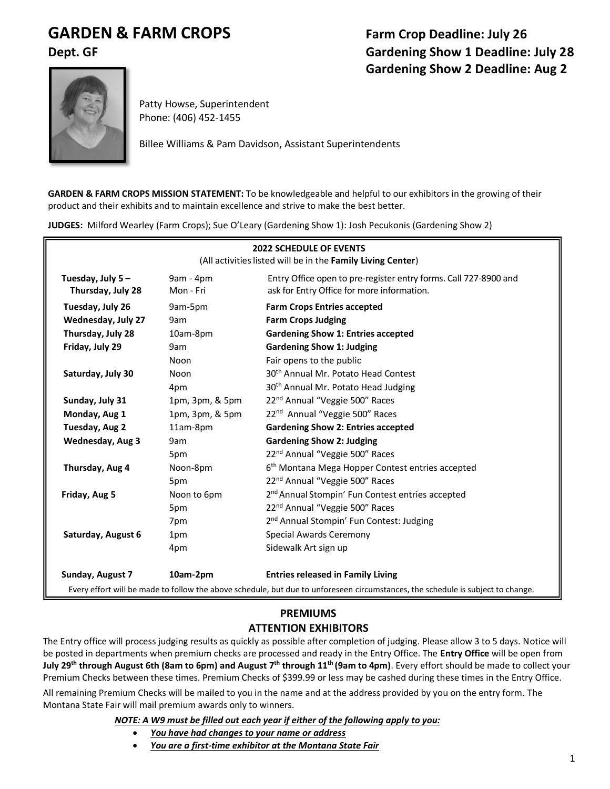# **GARDEN & FARM CROPS Farm Crop Deadline: July 26**

# **Dept. GF Gardening Show 1 Deadline: July 28 Gardening Show 2 Deadline: Aug 2**



Patty Howse, Superintendent Phone: (406) 452-1455

Billee Williams & Pam Davidson, Assistant Superintendents

**GARDEN & FARM CROPS MISSION STATEMENT:** To be knowledgeable and helpful to our exhibitors in the growing of their product and their exhibits and to maintain excellence and strive to make the best better.

**JUDGES:** Milford Wearley (Farm Crops); Sue O'Leary (Gardening Show 1): Josh Pecukonis (Gardening Show 2)

| <b>2022 SCHEDULE OF EVENTS</b><br>(All activities listed will be in the Family Living Center) |                        |                                                                                                                                 |  |
|-----------------------------------------------------------------------------------------------|------------------------|---------------------------------------------------------------------------------------------------------------------------------|--|
| Tuesday, July 5-<br>Thursday, July 28                                                         | 9am - 4pm<br>Mon - Fri | Entry Office open to pre-register entry forms. Call 727-8900 and<br>ask for Entry Office for more information.                  |  |
| Tuesday, July 26                                                                              | 9am-5pm                | <b>Farm Crops Entries accepted</b>                                                                                              |  |
| Wednesday, July 27                                                                            | 9am                    | <b>Farm Crops Judging</b>                                                                                                       |  |
| Thursday, July 28                                                                             | 10am-8pm               | <b>Gardening Show 1: Entries accepted</b>                                                                                       |  |
| Friday, July 29                                                                               | 9am                    | <b>Gardening Show 1: Judging</b>                                                                                                |  |
|                                                                                               | Noon                   | Fair opens to the public                                                                                                        |  |
| Saturday, July 30                                                                             | Noon                   | 30 <sup>th</sup> Annual Mr. Potato Head Contest                                                                                 |  |
|                                                                                               | 4pm                    | 30 <sup>th</sup> Annual Mr. Potato Head Judging                                                                                 |  |
| Sunday, July 31                                                                               | 1pm, 3pm, & 5pm        | 22 <sup>nd</sup> Annual "Veggie 500" Races                                                                                      |  |
| Monday, Aug 1                                                                                 | 1pm, 3pm, & 5pm        | 22 <sup>nd</sup> Annual "Veggie 500" Races                                                                                      |  |
| Tuesday, Aug 2                                                                                | 11am-8pm               | <b>Gardening Show 2: Entries accepted</b>                                                                                       |  |
| Wednesday, Aug 3                                                                              | 9am                    | <b>Gardening Show 2: Judging</b>                                                                                                |  |
|                                                                                               | 5pm                    | 22 <sup>nd</sup> Annual "Veggie 500" Races                                                                                      |  |
| Thursday, Aug 4                                                                               | Noon-8pm               | 6 <sup>th</sup> Montana Mega Hopper Contest entries accepted                                                                    |  |
|                                                                                               | 5pm                    | 22 <sup>nd</sup> Annual "Veggie 500" Races                                                                                      |  |
| Friday, Aug 5                                                                                 | Noon to 6pm            | 2 <sup>nd</sup> Annual Stompin' Fun Contest entries accepted                                                                    |  |
|                                                                                               | 5pm                    | 22 <sup>nd</sup> Annual "Veggie 500" Races                                                                                      |  |
|                                                                                               | 7pm                    | 2 <sup>nd</sup> Annual Stompin' Fun Contest: Judging                                                                            |  |
| Saturday, August 6                                                                            | 1pm                    | <b>Special Awards Ceremony</b>                                                                                                  |  |
|                                                                                               | 4pm                    | Sidewalk Art sign up                                                                                                            |  |
| Sunday, August 7                                                                              | 10am-2pm               | <b>Entries released in Family Living</b>                                                                                        |  |
|                                                                                               |                        | Every effort will be made to follow the above schedule, but due to unforeseen circumstances, the schedule is subject to change. |  |

#### **PREMIUMS ATTENTION EXHIBITORS**

The Entry office will process judging results as quickly as possible after completion of judging. Please allow 3 to 5 days. Notice will be posted in departments when premium checks are processed and ready in the Entry Office. The **Entry Office** will be open from **July 29th through August 6th (8am to 6pm) and August 7 th through 11 th (9am to 4pm)**. Every effort should be made to collect your Premium Checks between these times. Premium Checks of \$399.99 or less may be cashed during these times in the Entry Office.

All remaining Premium Checks will be mailed to you in the name and at the address provided by you on the entry form. The Montana State Fair will mail premium awards only to winners.

#### *NOTE: A W9 must be filled out each year if either of the following apply to you:*

- *You have had changes to your name or address*
- *You are a first-time exhibitor at the Montana State Fair*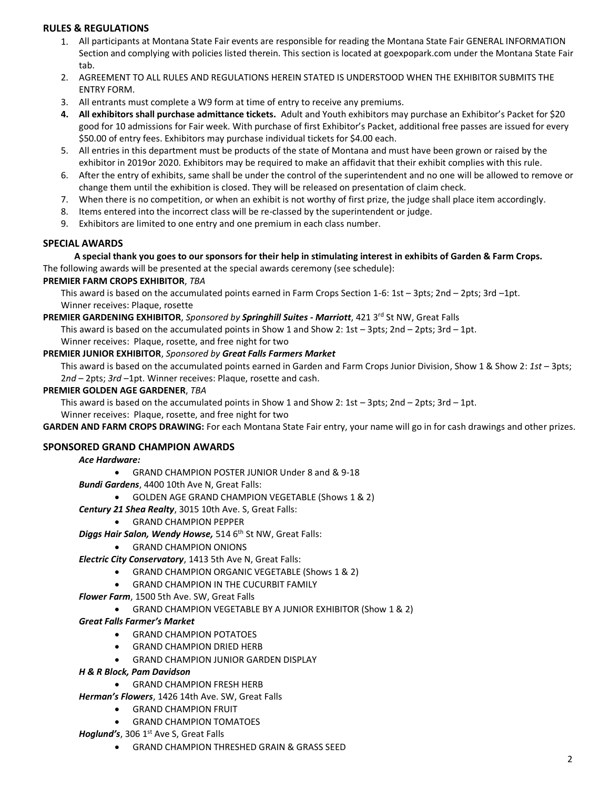#### **RULES & REGULATIONS**

- 1. All participants at Montana State Fair events are responsible for reading the Montana State Fair GENERAL INFORMATION Section and complying with policies listed therein. This section is located at goexpopark.com under the Montana State Fair tab.
- 2. AGREEMENT TO ALL RULES AND REGULATIONS HEREIN STATED IS UNDERSTOOD WHEN THE EXHIBITOR SUBMITS THE ENTRY FORM.
- 3. All entrants must complete a W9 form at time of entry to receive any premiums.
- **4. All exhibitors shall purchase admittance tickets.** Adult and Youth exhibitors may purchase an Exhibitor's Packet for \$20 good for 10 admissions for Fair week. With purchase of first Exhibitor's Packet, additional free passes are issued for every \$50.00 of entry fees. Exhibitors may purchase individual tickets for \$4.00 each.
- 5. All entries in this department must be products of the state of Montana and must have been grown or raised by the exhibitor in 2019or 2020. Exhibitors may be required to make an affidavit that their exhibit complies with this rule.
- 6. After the entry of exhibits, same shall be under the control of the superintendent and no one will be allowed to remove or change them until the exhibition is closed. They will be released on presentation of claim check.
- 7. When there is no competition, or when an exhibit is not worthy of first prize, the judge shall place item accordingly.
- 8. Items entered into the incorrect class will be re-classed by the superintendent or judge.
- 9. Exhibitors are limited to one entry and one premium in each class number.

#### **SPECIAL AWARDS**

#### **A special thank you goes to our sponsors for their help in stimulating interest in exhibits of Garden & Farm Crops.**

The following awards will be presented at the special awards ceremony (see schedule):

#### **PREMIER FARM CROPS EXHIBITOR**, *TBA*

This award is based on the accumulated points earned in Farm Crops Section 1-6: 1st – 3pts; 2nd – 2pts; 3rd –1pt. Winner receives: Plaque, rosette

#### **PREMIER GARDENING EXHIBITOR**, *Sponsored by Springhill Suites - Marriott*, 421 3<sup>rd</sup> St NW, Great Falls

This award is based on the accumulated points in Show 1 and Show 2: 1st  $-$  3pts; 2nd  $-$  2pts; 3rd  $-$  1pt.

Winner receives: Plaque, rosette, and free night for two

#### **PREMIER JUNIOR EXHIBITOR**, *Sponsored by Great Falls Farmers Market*

This award is based on the accumulated points earned in Garden and Farm Crops Junior Division, Show 1 & Show 2: *1st* – 3pts; 2*nd* – 2pts; *3rd* –1pt. Winner receives: Plaque, rosette and cash.

#### **PREMIER GOLDEN AGE GARDENER**, *TBA*

This award is based on the accumulated points in Show 1 and Show 2:  $1st - 3pts$ ;  $2nd - 2pts$ ;  $3rd - 1pt$ .

#### Winner receives: Plaque, rosette, and free night for two

**GARDEN AND FARM CROPS DRAWING:** For each Montana State Fair entry, your name will go in for cash drawings and other prizes.

#### **SPONSORED GRAND CHAMPION AWARDS**

#### *Ace Hardware:*

• GRAND CHAMPION POSTER JUNIOR Under 8 and & 9-18

*Bundi Gardens*, 4400 10th Ave N, Great Falls:

• GOLDEN AGE GRAND CHAMPION VEGETABLE (Shows 1 & 2)

#### *Century 21 Shea Realty*, 3015 10th Ave. S, Great Falls:

• GRAND CHAMPION PEPPER

**Diggs Hair Salon, Wendy Howse,** 514 6<sup>th</sup> St NW, Great Falls:

• GRAND CHAMPION ONIONS

*Electric City Conservatory*, 1413 5th Ave N, Great Falls:

- GRAND CHAMPION ORGANIC VEGETABLE (Shows 1 & 2)
- GRAND CHAMPION IN THE CUCURBIT FAMILY

*Flower Farm*, 1500 5th Ave. SW, Great Falls

• GRAND CHAMPION VEGETABLE BY A JUNIOR EXHIBITOR (Show 1 & 2)

#### *Great Falls Farmer's Market*

- GRAND CHAMPION POTATOES
- GRAND CHAMPION DRIED HERB
- GRAND CHAMPION JUNIOR GARDEN DISPLAY

#### *H & R Block, Pam Davidson*

- GRAND CHAMPION FRESH HERB
- *Herman's Flowers*, 1426 14th Ave. SW, Great Falls
	- GRAND CHAMPION FRUIT
	- GRAND CHAMPION TOMATOES
- *Hoglund's*, 306 1<sup>st</sup> Ave S, Great Falls
	- GRAND CHAMPION THRESHED GRAIN & GRASS SEED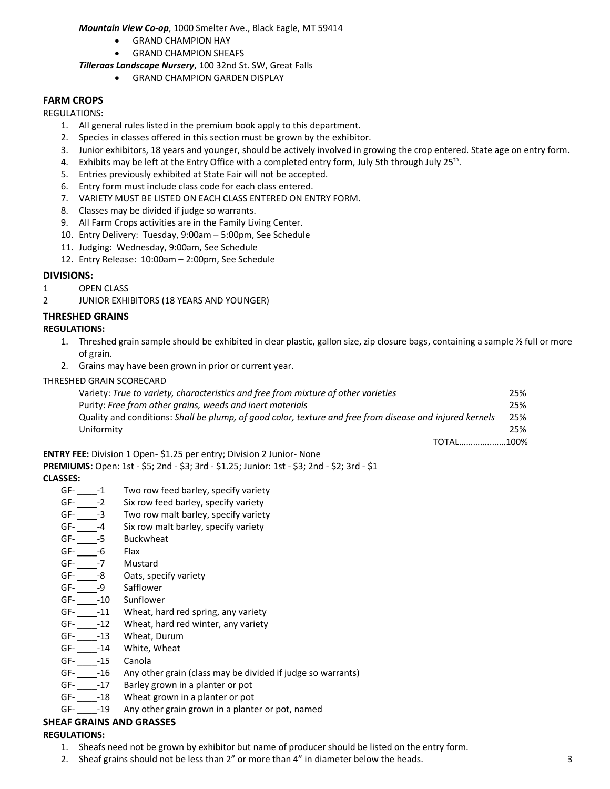#### *Mountain View Co-op*, 1000 Smelter Ave., Black Eagle, MT 59414

- GRAND CHAMPION HAY
- GRAND CHAMPION SHEAFS

#### *Tilleraas Landscape Nursery*, 100 32nd St. SW, Great Falls

• GRAND CHAMPION GARDEN DISPLAY

#### **FARM CROPS**

REGULATIONS:

- 1. All general rules listed in the premium book apply to this department.
- 2. Species in classes offered in this section must be grown by the exhibitor.
- 3. Junior exhibitors, 18 years and younger, should be actively involved in growing the crop entered. State age on entry form.
- 4. Exhibits may be left at the Entry Office with a completed entry form, July 5th through July 25<sup>th</sup>.
- 5. Entries previously exhibited at State Fair will not be accepted.
- 6. Entry form must include class code for each class entered.
- 7. VARIETY MUST BE LISTED ON EACH CLASS ENTERED ON ENTRY FORM.
- 8. Classes may be divided if judge so warrants.
- 9. All Farm Crops activities are in the Family Living Center.
- 10. Entry Delivery: Tuesday, 9:00am 5:00pm, See Schedule
- 11. Judging: Wednesday, 9:00am, See Schedule
- 12. Entry Release: 10:00am 2:00pm, See Schedule

#### **DIVISIONS:**

- 1 OPEN CLASS
- 2 JUNIOR EXHIBITORS (18 YEARS AND YOUNGER)

#### **THRESHED GRAINS**

#### **REGULATIONS:**

- 1. Threshed grain sample should be exhibited in clear plastic, gallon size, zip closure bags, containing a sample  $\frac{1}{2}$  full or more of grain.
- 2. Grains may have been grown in prior or current year.

#### THRESHED GRAIN SCORECARD

| Variety: True to variety, characteristics and free from mixture of other varieties                       | 25% |
|----------------------------------------------------------------------------------------------------------|-----|
| Purity: Free from other grains, weeds and inert materials                                                | 25% |
| Quality and conditions: Shall be plump, of good color, texture and free from disease and injured kernels | 25% |
| Uniformity                                                                                               | 25% |
| TOTAL100%                                                                                                |     |

**ENTRY FEE:** Division 1 Open- \$1.25 per entry; Division 2 Junior- None

**PREMIUMS:** Open: 1st - \$5; 2nd - \$3; 3rd - \$1.25; Junior: 1st - \$3; 2nd - \$2; 3rd - \$1 **CLASSES:**

- GF- \_\_\_\_-1 Two row feed barley, specify variety
- GF- -2 Six row feed barley, specify variety
- GF- \_\_\_\_\_-3 Two row malt barley, specify variety
- GF- -4 Six row malt barley, specify variety
- GF- -5 Buckwheat
- GF- -6 Flax
- GF- -7 Mustard
- GF- -8 Oats, specify variety
- GF- -9 Safflower
- GF-\_\_\_\_\_-10 Sunflower
- GF- \_\_\_\_\_-11 Wheat, hard red spring, any variety
- GF- \_\_\_\_\_-12 Wheat, hard red winter, any variety
- GF- \_\_\_\_\_-13 Wheat, Durum
- GF- \_\_\_\_\_-14 White, Wheat
- GF- -15 Canola
- GF- \_\_\_\_\_-16 Any other grain (class may be divided if judge so warrants)
- GF- \_\_\_\_\_-17 Barley grown in a planter or pot
- GF- \_\_\_\_\_-18 Wheat grown in a planter or pot<br>GF- \_\_\_\_-19 Any other grain grown in a plante
- Any other grain grown in a planter or pot, named

#### **SHEAF GRAINS AND GRASSES**

#### **REGULATIONS:**

- 1. Sheafs need not be grown by exhibitor but name of producer should be listed on the entry form.
- 2. Sheaf grains should not be less than 2" or more than 4" in diameter below the heads. 3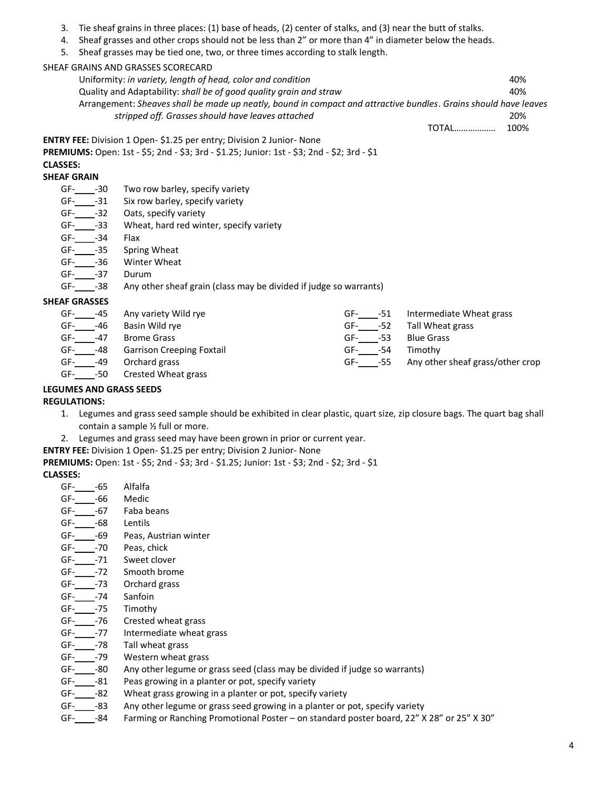- 3. Tie sheaf grains in three places: (1) base of heads, (2) center of stalks, and (3) near the butt of stalks.
- 4. Sheaf grasses and other crops should not be less than 2" or more than 4" in diameter below the heads.
- 5. Sheaf grasses may be tied one, two, or three times according to stalk length.

SHEAF GRAINS AND GRASSES SCORECARD

Uniformity: *in variety, length of head, color and condition* 40% Quality and Adaptability: *shall be of good quality grain and straw* 40% Arrangement: *Sheaves shall be made up neatly, bound in compact and attractive bundles*. *Grains should have leaves stripped off. Grasses should have leaves attached* 20%

TOTAL……………… 100%

**ENTRY FEE:** Division 1 Open- \$1.25 per entry; Division 2 Junior- None

**PREMIUMS:** Open: 1st - \$5; 2nd - \$3; 3rd - \$1.25; Junior: 1st - \$3; 2nd - \$2; 3rd - \$1

# **CLASSES:**

# **SHEAF GRAIN**

- GF-\_\_\_\_\_-30 Two row barley, specify variety
- GF-\_\_\_\_\_-31 Six row barley, specify variety
- GF-\_\_\_\_\_-32 Oats, specify variety<br>GF- -33 Wheat, hard red win
- Wheat, hard red winter, specify variety
- GF- -34 Flax
- GF-\_\_\_\_\_-35 Spring Wheat<br>GF-\_\_\_\_\_-36 Winter Wheat
- Winter Wheat
- GF- -37 Durum
- GF- -38 Any other sheaf grain (class may be divided if judge so warrants)

#### **SHEAF GRASSES**

| GF- | -45 | Any variety Wild rye             | GF-<br>-51 | Intermediate Wheat grass         |
|-----|-----|----------------------------------|------------|----------------------------------|
| GF- | -46 | Basin Wild rye                   | GF-<br>-52 | Tall Wheat grass                 |
| GF- | -47 | <b>Brome Grass</b>               | -53<br>GF- | <b>Blue Grass</b>                |
| GF- | -48 | <b>Garrison Creeping Foxtail</b> | -54<br>GF- | Timothy                          |
| GF- | -49 | Orchard grass                    | GF-<br>-55 | Any other sheaf grass/other crop |
| GF- | -50 | Crested Wheat grass              |            |                                  |

#### **LEGUMES AND GRASS SEEDS**

#### **REGULATIONS:**

- 1. Legumes and grass seed sample should be exhibited in clear plastic, quart size, zip closure bags. The quart bag shall contain a sample ½ full or more.
- 2. Legumes and grass seed may have been grown in prior or current year.

**ENTRY FEE:** Division 1 Open- \$1.25 per entry; Division 2 Junior- None

**PREMIUMS:** Open: 1st - \$5; 2nd - \$3; 3rd - \$1.25; Junior: 1st - \$3; 2nd - \$2; 3rd - \$1

#### **CLASSES:**

- GF-\_\_\_\_-65 Alfalfa
- GF-\_\_\_\_-66 Medic
- GF- -67 Faba beans
- GF- -68 Lentils
- GF- -69 Peas, Austrian winter
- GF-\_\_\_\_-70 Peas, chick
- GF- -71 Sweet clover
- GF- -72 Smooth brome
- GF- -73 Orchard grass
- GF- -74 Sanfoin
- GF-\_\_\_\_-75 Timothy
- GF-\_\_\_\_-76 Crested wheat grass
- GF- -77 Intermediate wheat grass
- GF-\_\_\_\_-78 Tall wheat grass
- GF- -79 Western wheat grass
- GF-\_\_\_\_-80 Any other legume or grass seed (class may be divided if judge so warrants)
- GF-\_\_\_\_\_-81 Peas growing in a planter or pot, specify variety
- GF- -82 Wheat grass growing in a planter or pot, specify variety
- GF-\_\_\_\_-83 Any other legume or grass seed growing in a planter or pot, specify variety
- GF- -84 Farming or Ranching Promotional Poster on standard poster board, 22" X 28" or 25" X 30"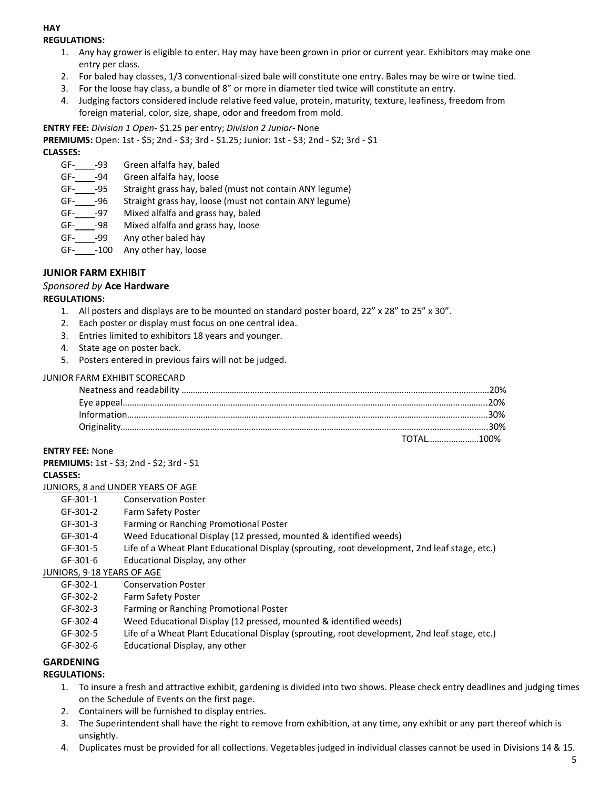#### **HAY REGULATIONS:**

- 1. Any hay grower is eligible to enter. Hay may have been grown in prior or current year. Exhibitors may make one entry per class.
- 2. For baled hay classes, 1/3 conventional-sized bale will constitute one entry. Bales may be wire or twine tied.
- 3. For the loose hay class, a bundle of 8" or more in diameter tied twice will constitute an entry.
- 4. Judging factors considered include relative feed value, protein, maturity, texture, leafiness, freedom from foreign material, color, size, shape, odor and freedom from mold.

**ENTRY FEE:** *Division 1 Open*- \$1.25 per entry; *Division 2 Junior*- None

**PREMIUMS:** Open: 1st - \$5; 2nd - \$3; 3rd - \$1.25; Junior: 1st - \$3; 2nd - \$2; 3rd - \$1

**CLASSES:**

- GF-\_\_\_\_-93 Green alfalfa hay, baled
- GF- -94 Green alfalfa hay, loose
- GF-\_\_\_\_-95 Straight grass hay, baled (must not contain ANY legume)
- GF- -96 Straight grass hay, loose (must not contain ANY legume)
- GF- -97 Mixed alfalfa and grass hay, baled
- GF-\_\_\_\_-98 Mixed alfalfa and grass hay, loose
- GF- -99 Any other baled hay
- GF- -100 Any other hay, loose

#### **JUNIOR FARM EXHIBIT**

#### *Sponsored by* **Ace Hardware**

#### **REGULATIONS:**

- 1. All posters and displays are to be mounted on standard poster board,  $22'' \times 28''$  to  $25'' \times 30''$ .
- 2. Each poster or display must focus on one central idea.
- 3. Entries limited to exhibitors 18 years and younger.
- 4. State age on poster back.
- 5. Posters entered in previous fairs will not be judged.

#### JUNIOR FARM EXHIBIT SCORECARD

| TOTAL100% |
|-----------|

#### **ENTRY FEE:** None

| PREMIUMS: 1st - \$3; 2nd - \$2; 3rd - \$1 |  |
|-------------------------------------------|--|
| ri ассес <b>.</b>                         |  |

#### **CLASSES:**

- JUNIORS, 8 and UNDER YEARS OF AGE
	- GF-301-1 Conservation Poster
	- GF-301-2 Farm Safety Poster
	- GF-301-3 Farming or Ranching Promotional Poster
	- GF-301-4 Weed Educational Display (12 pressed, mounted & identified weeds)
	- GF-301-5 Life of a Wheat Plant Educational Display (sprouting, root development, 2nd leaf stage, etc.)
	- GF-301-6 Educational Display, any other

#### JUNIORS, 9-18 YEARS OF AGE

- GF-302-1 Conservation Poster
- GF-302-2 Farm Safety Poster
- GF-302-3 Farming or Ranching Promotional Poster
- GF-302-4 Weed Educational Display (12 pressed, mounted & identified weeds)
- GF-302-5 Life of a Wheat Plant Educational Display (sprouting, root development, 2nd leaf stage, etc.)
- GF-302-6 Educational Display, any other

#### **GARDENING**

#### **REGULATIONS:**

- 1. To insure a fresh and attractive exhibit, gardening is divided into two shows. Please check entry deadlines and judging times on the Schedule of Events on the first page.
- 2. Containers will be furnished to display entries.
- 3. The Superintendent shall have the right to remove from exhibition, at any time, any exhibit or any part thereof which is unsightly.
- 4. Duplicates must be provided for all collections. Vegetables judged in individual classes cannot be used in Divisions 14 & 15.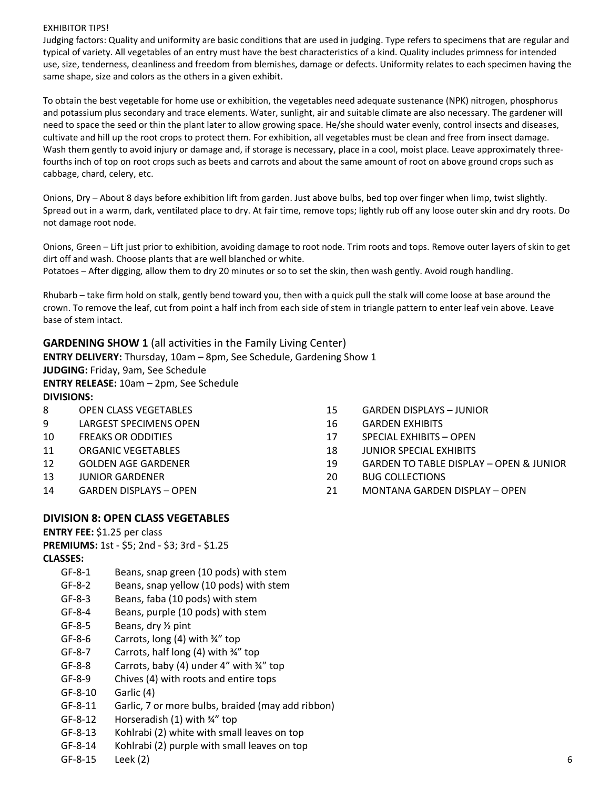#### EXHIBITOR TIPS!

Judging factors: Quality and uniformity are basic conditions that are used in judging. Type refers to specimens that are regular and typical of variety. All vegetables of an entry must have the best characteristics of a kind. Quality includes primness for intended use, size, tenderness, cleanliness and freedom from blemishes, damage or defects. Uniformity relates to each specimen having the same shape, size and colors as the others in a given exhibit.

To obtain the best vegetable for home use or exhibition, the vegetables need adequate sustenance (NPK) nitrogen, phosphorus and potassium plus secondary and trace elements. Water, sunlight, air and suitable climate are also necessary. The gardener will need to space the seed or thin the plant later to allow growing space. He/she should water evenly, control insects and diseases, cultivate and hill up the root crops to protect them. For exhibition, all vegetables must be clean and free from insect damage. Wash them gently to avoid injury or damage and, if storage is necessary, place in a cool, moist place. Leave approximately threefourths inch of top on root crops such as beets and carrots and about the same amount of root on above ground crops such as cabbage, chard, celery, etc.

Onions, Dry – About 8 days before exhibition lift from garden. Just above bulbs, bed top over finger when limp, twist slightly. Spread out in a warm, dark, ventilated place to dry. At fair time, remove tops; lightly rub off any loose outer skin and dry roots. Do not damage root node.

Onions, Green – Lift just prior to exhibition, avoiding damage to root node. Trim roots and tops. Remove outer layers of skin to get dirt off and wash. Choose plants that are well blanched or white. Potatoes – After digging, allow them to dry 20 minutes or so to set the skin, then wash gently. Avoid rough handling.

Rhubarb – take firm hold on stalk, gently bend toward you, then with a quick pull the stalk will come loose at base around the crown. To remove the leaf, cut from point a half inch from each side of stem in triangle pattern to enter leaf vein above. Leave base of stem intact.

**GARDENING SHOW 1** (all activities in the Family Living Center)

**ENTRY DELIVERY:** Thursday, 10am – 8pm, See Schedule, Gardening Show 1 **JUDGING:** Friday, 9am, See Schedule **ENTRY RELEASE:** 10am – 2pm, See Schedule

**DIVISIONS:**

- 8 OPEN CLASS VEGETABLES
- 9 LARGEST SPECIMENS OPEN
- 10 FREAKS OR ODDITIES
- 11 ORGANIC VEGETABLES
- 12 GOLDEN AGE GARDENER
- 13 JUNIOR GARDENER
- 14 GARDEN DISPLAYS OPEN
- 15 GARDEN DISPLAYS JUNIOR
- 16 GARDEN EXHIBITS
- 17 SPECIAL EXHIBITS OPEN
- 18 JUNIOR SPECIAL EXHIBITS
- 19 GARDEN TO TABLE DISPLAY OPEN & JUNIOR
- 20 BUG COLLECTIONS
- 21 MONTANA GARDEN DISPLAY OPEN

#### **DIVISION 8: OPEN CLASS VEGETABLES**

**ENTRY FEE:** \$1.25 per class

**PREMIUMS:** 1st - \$5; 2nd - \$3; 3rd - \$1.25 **CLASSES:**

- GF-8-1 Beans, snap green (10 pods) with stem
- GF-8-2 Beans, snap yellow (10 pods) with stem
- GF-8-3 Beans, faba (10 pods) with stem
- GF-8-4 Beans, purple (10 pods) with stem
- GF-8-5 Beans, dry ½ pint
- GF-8-6 Carrots, long (4) with ¾" top
- GF-8-7 Carrots, half long (4) with ¾" top
- GF-8-8 Carrots, baby (4) under 4" with ¾" top
- GF-8-9 Chives (4) with roots and entire tops
- GF-8-10 Garlic (4)
- GF-8-11 Garlic, 7 or more bulbs, braided (may add ribbon)
- GF-8-12 Horseradish (1) with ¾" top
- GF-8-13 Kohlrabi (2) white with small leaves on top
- GF-8-14 Kohlrabi (2) purple with small leaves on top
- GF-8-15 Leek (2) 6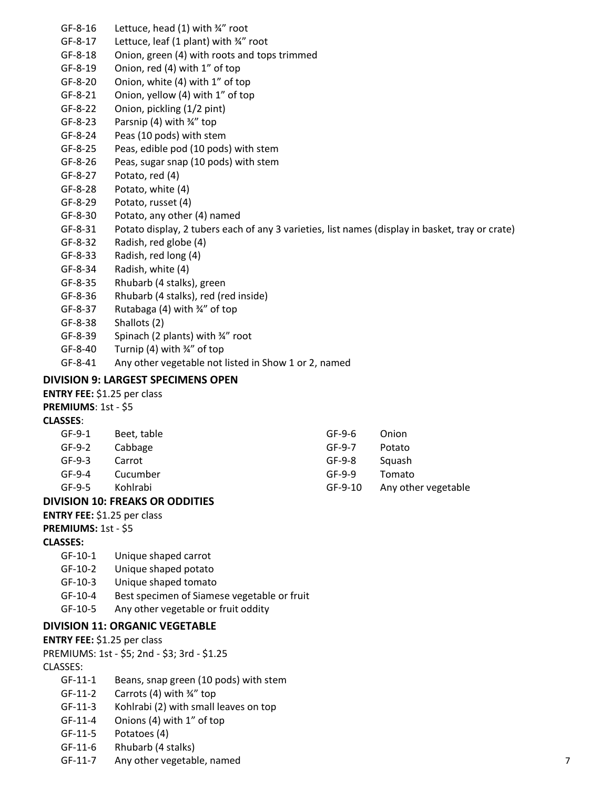- GF-8-16 Lettuce, head (1) with ¾" root
- GF-8-17 Lettuce, leaf (1 plant) with ¾" root
- GF-8-18 Onion, green (4) with roots and tops trimmed
- GF-8-19 Onion, red (4) with 1" of top
- GF-8-20 Onion, white (4) with 1" of top
- GF-8-21 Onion, yellow (4) with 1" of top
- GF-8-22 Onion, pickling (1/2 pint)
- GF-8-23 Parsnip (4) with ¾" top
- GF-8-24 Peas (10 pods) with stem
- GF-8-25 Peas, edible pod (10 pods) with stem
- GF-8-26 Peas, sugar snap (10 pods) with stem
- GF-8-27 Potato, red (4)
- GF-8-28 Potato, white (4)
- GF-8-29 Potato, russet (4)
- GF-8-30 Potato, any other (4) named
- GF-8-31 Potato display, 2 tubers each of any 3 varieties, list names (display in basket, tray or crate)
- GF-8-32 Radish, red globe (4)
- GF-8-33 Radish, red long (4)
- GF-8-34 Radish, white (4)
- GF-8-35 Rhubarb (4 stalks), green
- GF-8-36 Rhubarb (4 stalks), red (red inside)
- GF-8-37 Rutabaga (4) with ¾" of top
- GF-8-38 Shallots (2)
- GF-8-39 Spinach (2 plants) with ¾" root
- GF-8-40 Turnip (4) with ¾" of top
- GF-8-41 Any other vegetable not listed in Show 1 or 2, named

#### **DIVISION 9: LARGEST SPECIMENS OPEN**

**ENTRY FEE:** \$1.25 per class

#### **PREMIUMS**: 1st - \$5

#### **CLASSES**:

| GF-9-1 | Beet, table | GF-9-6   | Onion               |
|--------|-------------|----------|---------------------|
| GF-9-2 | Cabbage     | $GF-9-7$ | Potato              |
| GF-9-3 | Carrot      | GF-9-8   | Squash              |
| GF-9-4 | Cucumber    | GF-9-9   | Tomato              |
| GF-9-5 | Kohlrabi    | GF-9-10  | Any other vegetable |

#### **DIVISION 10: FREAKS OR ODDITIES**

**ENTRY FEE:** \$1.25 per class

**PREMIUMS:** 1st - \$5

#### **CLASSES:**

- GF-10-1 Unique shaped carrot
- GF-10-2 Unique shaped potato
- GF-10-3 Unique shaped tomato
- GF-10-4 Best specimen of Siamese vegetable or fruit
- GF-10-5 Any other vegetable or fruit oddity

#### **DIVISION 11: ORGANIC VEGETABLE**

#### **ENTRY FEE:** \$1.25 per class

PREMIUMS: 1st - \$5; 2nd - \$3; 3rd - \$1.25

#### CLASSES:

- GF-11-1 Beans, snap green (10 pods) with stem
- GF-11-2 Carrots (4) with ¾" top
- GF-11-3 Kohlrabi (2) with small leaves on top
- GF-11-4 Onions (4) with 1" of top
- GF-11-5 Potatoes (4)
- GF-11-6 Rhubarb (4 stalks)
- GF-11-7 Any other vegetable, named 7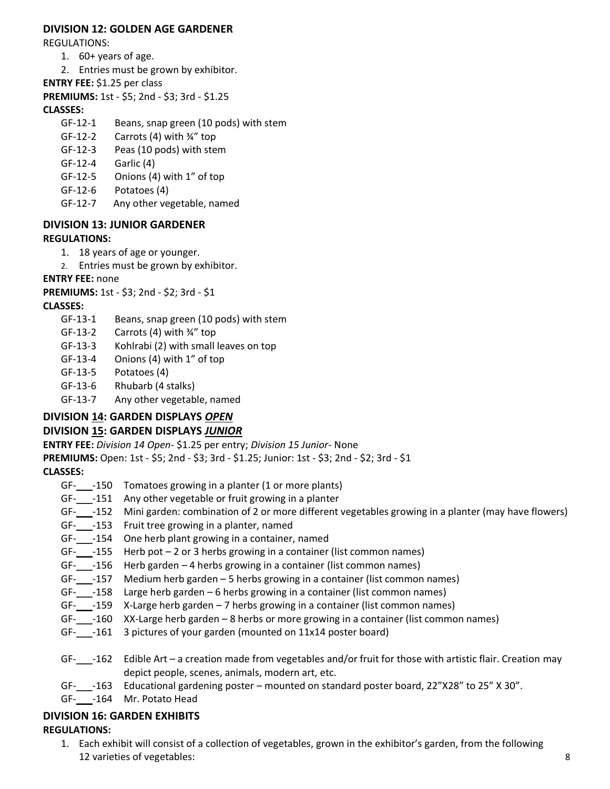#### **DIVISION 12: GOLDEN AGE GARDENER**

REGULATIONS:

- 1. 60+ years of age.
- 2. Entries must be grown by exhibitor.
- **ENTRY FEE:** \$1.25 per class
- **PREMIUMS:** 1st \$5; 2nd \$3; 3rd \$1.25

#### **CLASSES:**

- GF-12-1 Beans, snap green (10 pods) with stem
- GF-12-2 Carrots (4) with ¾" top
- GF-12-3 Peas (10 pods) with stem
- GF-12-4 Garlic (4)
- GF-12-5 Onions (4) with 1" of top
- GF-12-6 Potatoes (4)
- GF-12-7 Any other vegetable, named

#### **DIVISION 13: JUNIOR GARDENER REGULATIONS:**

- 1. 18 years of age or younger.
- 2. Entries must be grown by exhibitor.

#### **ENTRY FEE:** none

**PREMIUMS:** 1st - \$3; 2nd - \$2; 3rd - \$1

#### **CLASSES:**

- GF-13-1 Beans, snap green (10 pods) with stem
- GF-13-2 Carrots (4) with ¾" top
- GF-13-3 Kohlrabi (2) with small leaves on top
- GF-13-4 Onions (4) with 1" of top
- GF-13-5 Potatoes (4)
- GF-13-6 Rhubarb (4 stalks)
- GF-13-7 Any other vegetable, named

### **DIVISION 14: GARDEN DISPLAYS** *OPEN*

#### **DIVISION 15: GARDEN DISPLAYS** *JUNIOR*

**ENTRY FEE:** *Division 14 Open*- \$1.25 per entry; *Division 15 Junior*- None

**PREMIUMS:** Open: 1st - \$5; 2nd - \$3; 3rd - \$1.25; Junior: 1st - \$3; 2nd - \$2; 3rd - \$1 **CLASSES:**

- GF- -150 Tomatoes growing in a planter (1 or more plants)
- GF-\_\_\_-151 Any other vegetable or fruit growing in a planter
- GF-\_\_\_-152 Mini garden: combination of 2 or more different vegetables growing in a planter (may have flowers)
- GF-\_\_\_-153 Fruit tree growing in a planter, named
- GF-\_\_\_-154 One herb plant growing in a container, named
- GF- $-155$  Herb pot 2 or 3 herbs growing in a container (list common names)
- GF- $-156$  Herb garden 4 herbs growing in a container (list common names)
- GF-\_\_\_-157 Medium herb garden 5 herbs growing in a container (list common names)
- GF-\_\_\_-158 Large herb garden 6 herbs growing in a container (list common names)
- GF-\_\_\_-159 X-Large herb garden 7 herbs growing in a container (list common names)
- GF-\_\_\_-160 XX-Large herb garden 8 herbs or more growing in a container (list common names)
- GF- -161 3 pictures of your garden (mounted on 11x14 poster board)
- GF-\_\_\_-162 Edible Art a creation made from vegetables and/or fruit for those with artistic flair. Creation may depict people, scenes, animals, modern art, etc.
- GF-\_\_\_-163 Educational gardening poster mounted on standard poster board, 22"X28" to 25" X 30".
- GF-\_\_\_-164 Mr. Potato Head

### **DIVISION 16: GARDEN EXHIBITS**

#### **REGULATIONS:**

1. Each exhibit will consist of a collection of vegetables, grown in the exhibitor's garden, from the following 12 varieties of vegetables: 8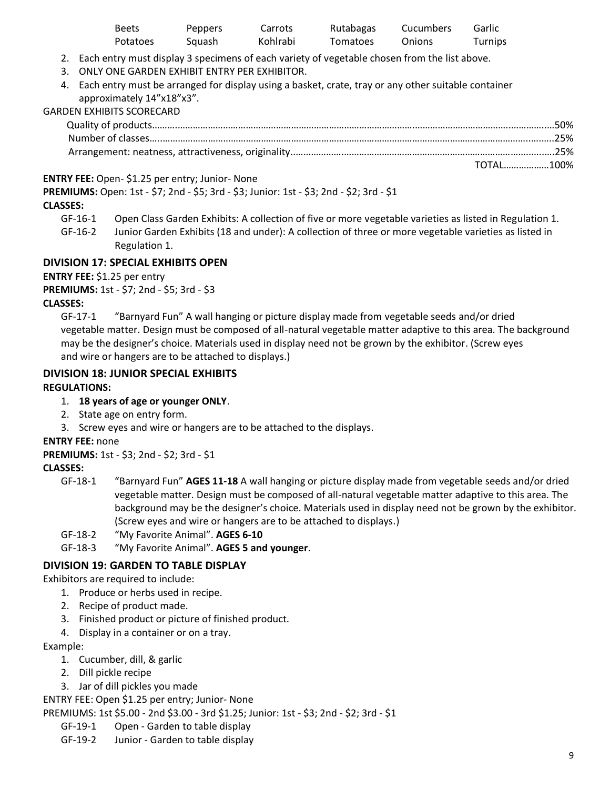| Beets           | <b>Peppers</b> | Carrots  | Rutabagas | Cucumbers | Garlic  |
|-----------------|----------------|----------|-----------|-----------|---------|
| <b>Potatoes</b> | Sauash         | Kohlrabi | Tomatoes  | Onions    | Turnips |

2. Each entry must display 3 specimens of each variety of vegetable chosen from the list above.

- 3. ONLY ONE GARDEN EXHIBIT ENTRY PER EXHIBITOR.
- 4. Each entry must be arranged for display using a basket, crate, tray or any other suitable container approximately 14"x18"x3".

#### GARDEN EXHIBITS SCORECARD

| TOTAL100% |
|-----------|

#### **ENTRY FEE:** Open- \$1.25 per entry; Junior- None

**PREMIUMS:** Open: 1st - \$7; 2nd - \$5; 3rd - \$3; Junior: 1st - \$3; 2nd - \$2; 3rd - \$1

#### **CLASSES:**

- GF-16-1 Open Class Garden Exhibits: A collection of five or more vegetable varieties as listed in Regulation 1.
- GF-16-2 Junior Garden Exhibits (18 and under): A collection of three or more vegetable varieties as listed in Regulation 1.

#### **DIVISION 17: SPECIAL EXHIBITS OPEN**

**ENTRY FEE:** \$1.25 per entry

**PREMIUMS:** 1st - \$7; 2nd - \$5; 3rd - \$3

#### **CLASSES:**

GF-17-1 "Barnyard Fun" A wall hanging or picture display made from vegetable seeds and/or dried vegetable matter. Design must be composed of all-natural vegetable matter adaptive to this area. The background may be the designer's choice. Materials used in display need not be grown by the exhibitor. (Screw eyes and wire or hangers are to be attached to displays.)

#### **DIVISION 18: JUNIOR SPECIAL EXHIBITS**

#### **REGULATIONS:**

- 1. **18 years of age or younger ONLY**.
- 2. State age on entry form.
- 3. Screw eyes and wire or hangers are to be attached to the displays.

#### **ENTRY FEE:** none

**PREMIUMS:** 1st - \$3; 2nd - \$2; 3rd - \$1

#### **CLASSES:**

- GF-18-1 "Barnyard Fun" **AGES 11-18** A wall hanging or picture display made from vegetable seeds and/or dried vegetable matter. Design must be composed of all-natural vegetable matter adaptive to this area. The background may be the designer's choice. Materials used in display need not be grown by the exhibitor. (Screw eyes and wire or hangers are to be attached to displays.)
- GF-18-2 "My Favorite Animal". **AGES 6-10**
- GF-18-3 "My Favorite Animal". **AGES 5 and younger**.

#### **DIVISION 19: GARDEN TO TABLE DISPLAY**

Exhibitors are required to include:

- 1. Produce or herbs used in recipe.
- 2. Recipe of product made.
- 3. Finished product or picture of finished product.
- 4. Display in a container or on a tray.

#### Example:

- 1. Cucumber, dill, & garlic
- 2. Dill pickle recipe
- 3. Jar of dill pickles you made

ENTRY FEE: Open \$1.25 per entry; Junior- None

PREMIUMS: 1st \$5.00 - 2nd \$3.00 - 3rd \$1.25; Junior: 1st - \$3; 2nd - \$2; 3rd - \$1

- GF-19-1 Open Garden to table display
- GF-19-2 Junior Garden to table display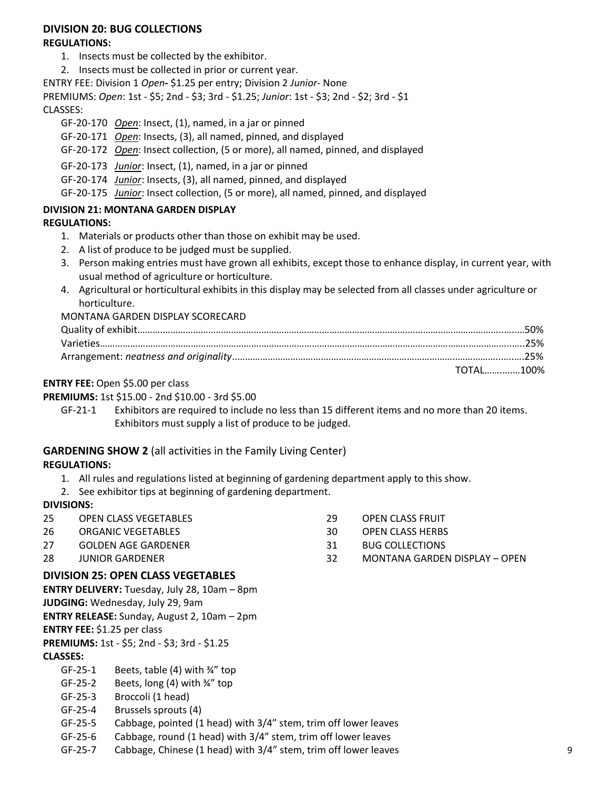#### **DIVISION 20: BUG COLLECTIONS REGULATIONS:**

- 1. Insects must be collected by the exhibitor.
- 2. Insects must be collected in prior or current year.

ENTRY FEE: Division 1 *Open***-** \$1.25 per entry; Division 2 *Junior*- None

PREMIUMS: *Open*: 1st - \$5; 2nd - \$3; 3rd - \$1.25; *Junior*: 1st - \$3; 2nd - \$2; 3rd - \$1 CLASSES:

- GF-20-170 *Open*: Insect, (1), named, in a jar or pinned
- GF-20-171 *Open*: Insects, (3), all named, pinned, and displayed
- GF-20-172 *Open*: Insect collection, (5 or more), all named, pinned, and displayed

#### GF-20-173 *Junior*: Insect, (1), named, in a jar or pinned

GF-20-174 *Junior*: Insects, (3), all named, pinned, and displayed

GF-20-175 *Junior*: Insect collection, (5 or more), all named, pinned, and displayed

#### **DIVISION 21: MONTANA GARDEN DISPLAY**

#### **REGULATIONS:**

- 1. Materials or products other than those on exhibit may be used.
- 2. A list of produce to be judged must be supplied.
- 3. Person making entries must have grown all exhibits, except those to enhance display, in current year, with usual method of agriculture or horticulture.
- 4. Agricultural or horticultural exhibits in this display may be selected from all classes under agriculture or horticulture.

MONTANA GARDEN DISPLAY SCORECARD

| TOTAL100% |
|-----------|

#### **ENTRY FEE:** Open \$5.00 per class

#### **PREMIUMS:** 1st \$15.00 - 2nd \$10.00 - 3rd \$5.00

GF-21-1 Exhibitors are required to include no less than 15 different items and no more than 20 items. Exhibitors must supply a list of produce to be judged.

#### **GARDENING SHOW 2** (all activities in the Family Living Center) **REGULATIONS:**

- 1. All rules and regulations listed at beginning of gardening department apply to this show.
- 2. See exhibitor tips at beginning of gardening department.

#### **DIVISIONS:**

- 25 OPEN CLASS VEGETABLES 26 ORGANIC VEGETABLES 27 GOLDEN AGE GARDENER 29 OPEN CLASS FRUIT 30 OPEN CLASS HERBS
- 28 JUNIOR GARDENER

#### **DIVISION 25: OPEN CLASS VEGETABLES**

**ENTRY DELIVERY:** Tuesday, July 28, 10am – 8pm **JUDGING:** Wednesday, July 29, 9am **ENTRY RELEASE:** Sunday, August 2, 10am – 2pm **ENTRY FEE:** \$1.25 per class

**PREMIUMS:** 1st - \$5; 2nd - \$3; 3rd - \$1.25

**CLASSES:**

- GF-25-1 Beets, table  $(4)$  with  $\frac{3}{4}$ " top
- GF-25-2 Beets, long  $(4)$  with  $\frac{3}{4}$ " top
- GF-25-3 Broccoli (1 head)
- GF-25-4 Brussels sprouts (4)
- GF-25-5 Cabbage, pointed (1 head) with 3/4" stem, trim off lower leaves
- GF-25-6 Cabbage, round (1 head) with 3/4" stem, trim off lower leaves
- GF-25-7 Cabbage, Chinese (1 head) with 3/4" stem, trim off lower leaves 9
- 
- 31 BUG COLLECTIONS
- 32 MONTANA GARDEN DISPLAY OPEN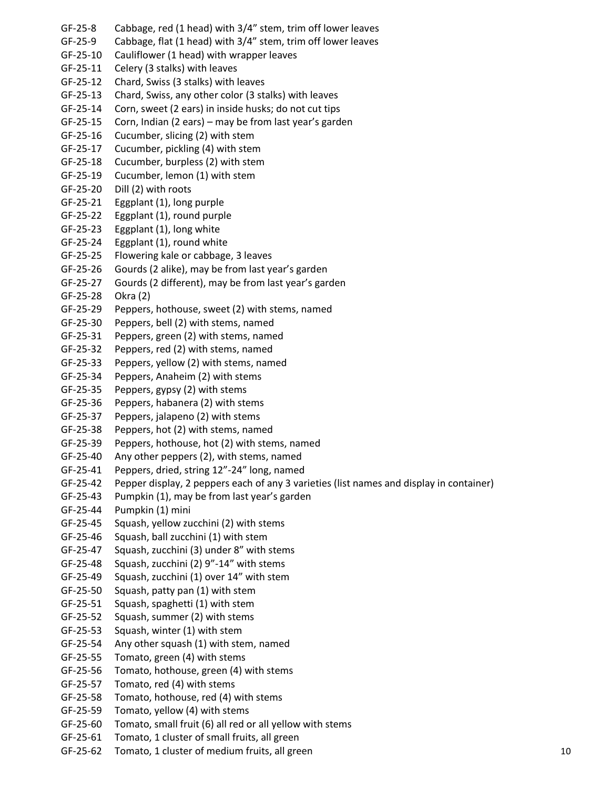GF-25-8 Cabbage, red (1 head) with 3/4" stem, trim off lower leaves GF-25-9 Cabbage, flat (1 head) with 3/4" stem, trim off lower leaves GF-25-10 Cauliflower (1 head) with wrapper leaves GF-25-11 Celery (3 stalks) with leaves GF-25-12 Chard, Swiss (3 stalks) with leaves GF-25-13 Chard, Swiss, any other color (3 stalks) with leaves GF-25-14 Corn, sweet (2 ears) in inside husks; do not cut tips GF-25-15 Corn, Indian (2 ears) – may be from last year's garden GF-25-16 Cucumber, slicing (2) with stem GF-25-17 Cucumber, pickling (4) with stem GF-25-18 Cucumber, burpless (2) with stem GF-25-19 Cucumber, lemon (1) with stem GF-25-20 Dill (2) with roots GF-25-21 Eggplant (1), long purple GF-25-22 Eggplant (1), round purple GF-25-23 Eggplant (1), long white GF-25-24 Eggplant (1), round white GF-25-25 Flowering kale or cabbage, 3 leaves GF-25-26 Gourds (2 alike), may be from last year's garden GF-25-27 Gourds (2 different), may be from last year's garden GF-25-28 Okra (2) GF-25-29 Peppers, hothouse, sweet (2) with stems, named GF-25-30 Peppers, bell (2) with stems, named GF-25-31 Peppers, green (2) with stems, named GF-25-32 Peppers, red (2) with stems, named GF-25-33 Peppers, yellow (2) with stems, named GF-25-34 Peppers, Anaheim (2) with stems GF-25-35 Peppers, gypsy (2) with stems GF-25-36 Peppers, habanera (2) with stems GF-25-37 Peppers, jalapeno (2) with stems GF-25-38 Peppers, hot (2) with stems, named GF-25-39 Peppers, hothouse, hot (2) with stems, named GF-25-40 Any other peppers (2), with stems, named GF-25-41 Peppers, dried, string 12"-24" long, named GF-25-42 Pepper display, 2 peppers each of any 3 varieties (list names and display in container) GF-25-43 Pumpkin (1), may be from last year's garden GF-25-44 Pumpkin (1) mini GF-25-45 Squash, yellow zucchini (2) with stems GF-25-46 Squash, ball zucchini (1) with stem GF-25-47 Squash, zucchini (3) under 8" with stems GF-25-48 Squash, zucchini (2) 9"-14" with stems GF-25-49 Squash, zucchini (1) over 14" with stem GF-25-50 Squash, patty pan (1) with stem GF-25-51 Squash, spaghetti (1) with stem GF-25-52 Squash, summer (2) with stems GF-25-53 Squash, winter (1) with stem GF-25-54 Any other squash (1) with stem, named GF-25-55 Tomato, green (4) with stems GF-25-56 Tomato, hothouse, green (4) with stems GF-25-57 Tomato, red (4) with stems GF-25-58 Tomato, hothouse, red (4) with stems GF-25-59 Tomato, yellow (4) with stems GF-25-60 Tomato, small fruit (6) all red or all yellow with stems GF-25-61 Tomato, 1 cluster of small fruits, all green GF-25-62 Tomato, 1 cluster of medium fruits, all green 10 and 10 and 10 and 10 and 10 and 10 and 10 and 10 and 10 and 10 and 10 and 10 and 10 and 10 and 10 and 10 and 10 and 10 and 10 and 10 and 10 and 10 and 10 and 10 and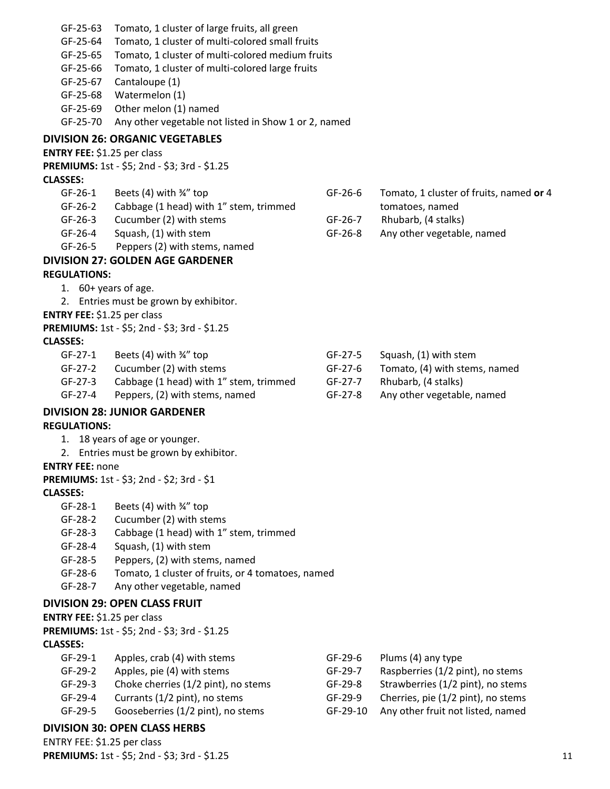| GF-25-63                    | Tomato, 1 cluster of large fruits, all green         |          |                                         |  |
|-----------------------------|------------------------------------------------------|----------|-----------------------------------------|--|
| GF-25-64                    | Tomato, 1 cluster of multi-colored small fruits      |          |                                         |  |
| GF-25-65                    | Tomato, 1 cluster of multi-colored medium fruits     |          |                                         |  |
| GF-25-66                    | Tomato, 1 cluster of multi-colored large fruits      |          |                                         |  |
| GF-25-67                    | Cantaloupe (1)                                       |          |                                         |  |
| GF-25-68                    | Watermelon (1)                                       |          |                                         |  |
| GF-25-69                    | Other melon (1) named                                |          |                                         |  |
| GF-25-70                    | Any other vegetable not listed in Show 1 or 2, named |          |                                         |  |
|                             | <b>DIVISION 26: ORGANIC VEGETABLES</b>               |          |                                         |  |
| ENTRY FEE: \$1.25 per class |                                                      |          |                                         |  |
|                             | PREMIUMS: 1st - \$5; 2nd - \$3; 3rd - \$1.25         |          |                                         |  |
| <b>CLASSES:</b>             |                                                      |          |                                         |  |
| $GF-26-1$                   | Beets $(4)$ with $\frac{3}{4}$ " top                 | GF-26-6  | Tomato, 1 cluster of fruits, named or 4 |  |
| GF-26-2                     | Cabbage (1 head) with 1" stem, trimmed               |          | tomatoes, named                         |  |
| GF-26-3                     | Cucumber (2) with stems                              | GF-26-7  | Rhubarb, (4 stalks)                     |  |
| GF-26-4                     | Squash, (1) with stem                                | GF-26-8  | Any other vegetable, named              |  |
| GF-26-5                     | Peppers (2) with stems, named                        |          |                                         |  |
|                             | <b>DIVISION 27: GOLDEN AGE GARDENER</b>              |          |                                         |  |
| <b>REGULATIONS:</b>         |                                                      |          |                                         |  |
| 1. 60+ years of age.        |                                                      |          |                                         |  |
|                             | 2. Entries must be grown by exhibitor.               |          |                                         |  |
| ENTRY FEE: \$1.25 per class |                                                      |          |                                         |  |
|                             | PREMIUMS: 1st - \$5; 2nd - \$3; 3rd - \$1.25         |          |                                         |  |
| <b>CLASSES:</b>             |                                                      |          |                                         |  |
| GF-27-1                     | Beets $(4)$ with $\frac{3}{4}$ " top                 | GF-27-5  | Squash, (1) with stem                   |  |
| $GF-27-2$                   | Cucumber (2) with stems                              | GF-27-6  | Tomato, (4) with stems, named           |  |
| GF-27-3                     | Cabbage (1 head) with 1" stem, trimmed               | GF-27-7  | Rhubarb, (4 stalks)                     |  |
| GF-27-4                     | Peppers, (2) with stems, named                       | GF-27-8  | Any other vegetable, named              |  |
|                             | <b>DIVISION 28: JUNIOR GARDENER</b>                  |          |                                         |  |
| <b>REGULATIONS:</b>         |                                                      |          |                                         |  |
|                             | 1. 18 years of age or younger.                       |          |                                         |  |
|                             | 2. Entries must be grown by exhibitor.               |          |                                         |  |
| <b>ENTRY FEE: none</b>      |                                                      |          |                                         |  |
|                             | <b>PREMIUMS:</b> 1st - \$3; 2nd - \$2; 3rd - \$1     |          |                                         |  |
| <b>CLASSES:</b>             |                                                      |          |                                         |  |
| GF-28-1                     | Beets (4) with 3/4" top                              |          |                                         |  |
| GF-28-2                     | Cucumber (2) with stems                              |          |                                         |  |
| GF-28-3                     | Cabbage (1 head) with 1" stem, trimmed               |          |                                         |  |
| GF-28-4                     | Squash, (1) with stem                                |          |                                         |  |
| GF-28-5                     | Peppers, (2) with stems, named                       |          |                                         |  |
| GF-28-6                     | Tomato, 1 cluster of fruits, or 4 tomatoes, named    |          |                                         |  |
| GF-28-7                     | Any other vegetable, named                           |          |                                         |  |
|                             |                                                      |          |                                         |  |
|                             | <b>DIVISION 29: OPEN CLASS FRUIT</b>                 |          |                                         |  |
| ENTRY FEE: \$1.25 per class |                                                      |          |                                         |  |
|                             | PREMIUMS: 1st - \$5; 2nd - \$3; 3rd - \$1.25         |          |                                         |  |
| <b>CLASSES:</b>             |                                                      |          |                                         |  |
| GF-29-1                     | Apples, crab (4) with stems                          | GF-29-6  | Plums (4) any type                      |  |
| GF-29-2                     | Apples, pie (4) with stems                           | GF-29-7  | Raspberries (1/2 pint), no stems        |  |
| GF-29-3                     | Choke cherries (1/2 pint), no stems                  | GF-29-8  | Strawberries (1/2 pint), no stems       |  |
| GF-29-4                     | Currants (1/2 pint), no stems                        | GF-29-9  | Cherries, pie (1/2 pint), no stems      |  |
| GF-29-5                     | Gooseberries (1/2 pint), no stems                    | GF-29-10 | Any other fruit not listed, named       |  |

### **DIVISION 30: OPEN CLASS HERBS**

ENTRY FEE: \$1.25 per class **PREMIUMS:** 1st - \$5; 2nd - \$3; 3rd - \$1.25 11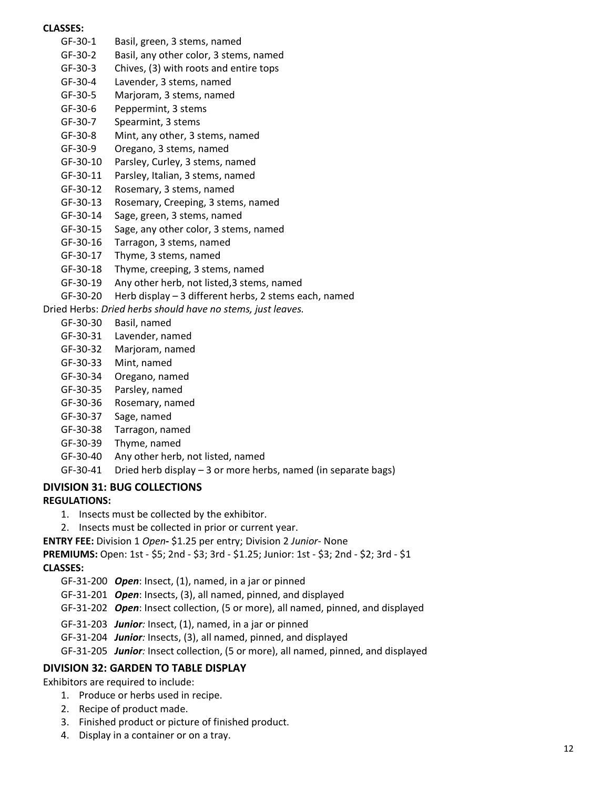#### **CLASSES:**

- GF-30-1 Basil, green, 3 stems, named GF-30-2 Basil, any other color, 3 stems, named GF-30-3 Chives, (3) with roots and entire tops GF-30-4 Lavender, 3 stems, named
- GF-30-5 Marjoram, 3 stems, named
- 
- GF-30-6 Peppermint, 3 stems
- GF-30-7 Spearmint, 3 stems
- GF-30-8 Mint, any other, 3 stems, named
- GF-30-9 Oregano, 3 stems, named
- GF-30-10 Parsley, Curley, 3 stems, named
- GF-30-11 Parsley, Italian, 3 stems, named
- GF-30-12 Rosemary, 3 stems, named
- GF-30-13 Rosemary, Creeping, 3 stems, named
- GF-30-14 Sage, green, 3 stems, named
- GF-30-15 Sage, any other color, 3 stems, named
- GF-30-16 Tarragon, 3 stems, named
- GF-30-17 Thyme, 3 stems, named
- GF-30-18 Thyme, creeping, 3 stems, named
- GF-30-19 Any other herb, not listed,3 stems, named
- GF-30-20 Herb display 3 different herbs, 2 stems each, named

Dried Herbs: *Dried herbs should have no stems, just leaves.*

- GF-30-30 Basil, named
- GF-30-31 Lavender, named
- GF-30-32 Marjoram, named
- GF-30-33 Mint, named
- GF-30-34 Oregano, named
- GF-30-35 Parsley, named
- GF-30-36 Rosemary, named
- GF-30-37 Sage, named
- GF-30-38 Tarragon, named
- GF-30-39 Thyme, named
- GF-30-40 Any other herb, not listed, named
- GF-30-41 Dried herb display 3 or more herbs, named (in separate bags)

# **DIVISION 31: BUG COLLECTIONS**

#### **REGULATIONS:**

- 1. Insects must be collected by the exhibitor.
- 2. Insects must be collected in prior or current year.

**ENTRY FEE:** Division 1 *Open***-** \$1.25 per entry; Division 2 *Junior*- None

#### **PREMIUMS:** Open: 1st - \$5; 2nd - \$3; 3rd - \$1.25; Junior: 1st - \$3; 2nd - \$2; 3rd - \$1

#### **CLASSES:**

- GF-31-200 *Open*: Insect, (1), named, in a jar or pinned
- GF-31-201 *Open*: Insects, (3), all named, pinned, and displayed
- GF-31-202 *Open*: Insect collection, (5 or more), all named, pinned, and displayed
- GF-31-203 *Junior:* Insect, (1), named, in a jar or pinned
- GF-31-204 *Junior:* Insects, (3), all named, pinned, and displayed
- GF-31-205 *Junior:* Insect collection, (5 or more), all named, pinned, and displayed

#### **DIVISION 32: GARDEN TO TABLE DISPLAY**

Exhibitors are required to include:

- 1. Produce or herbs used in recipe.
- 2. Recipe of product made.
- 3. Finished product or picture of finished product.
- 4. Display in a container or on a tray.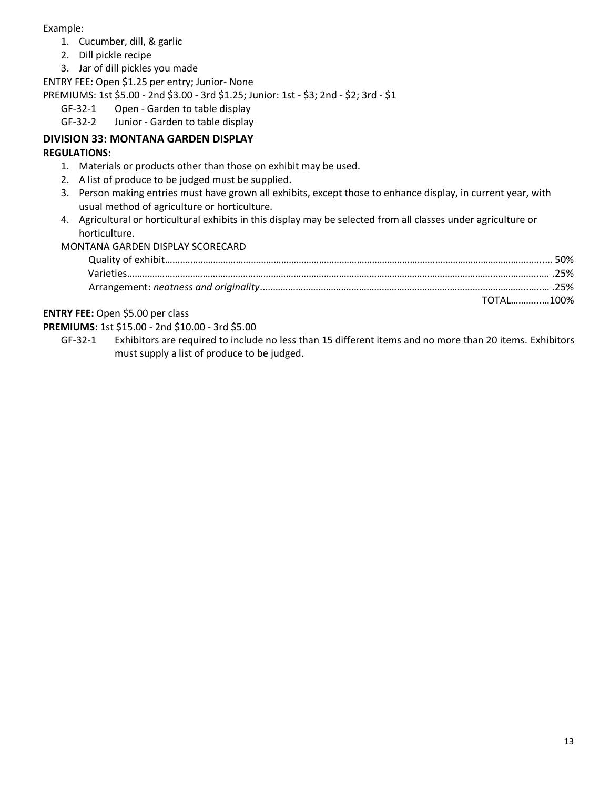Example:

- 1. Cucumber, dill, & garlic
- 2. Dill pickle recipe
- 3. Jar of dill pickles you made

ENTRY FEE: Open \$1.25 per entry; Junior- None

PREMIUMS: 1st \$5.00 - 2nd \$3.00 - 3rd \$1.25; Junior: 1st - \$3; 2nd - \$2; 3rd - \$1

- GF-32-1 Open Garden to table display
- GF-32-2 Junior Garden to table display

# **DIVISION 33: MONTANA GARDEN DISPLAY**

#### **REGULATIONS:**

- 1. Materials or products other than those on exhibit may be used.
- 2. A list of produce to be judged must be supplied.
- 3. Person making entries must have grown all exhibits, except those to enhance display, in current year, with usual method of agriculture or horticulture.
- 4. Agricultural or horticultural exhibits in this display may be selected from all classes under agriculture or horticulture.

MONTANA GARDEN DISPLAY SCORECARD

|  | TOTAL100% |
|--|-----------|

#### **ENTRY FEE:** Open \$5.00 per class

**PREMIUMS:** 1st \$15.00 - 2nd \$10.00 - 3rd \$5.00

GF-32-1 Exhibitors are required to include no less than 15 different items and no more than 20 items. Exhibitors must supply a list of produce to be judged.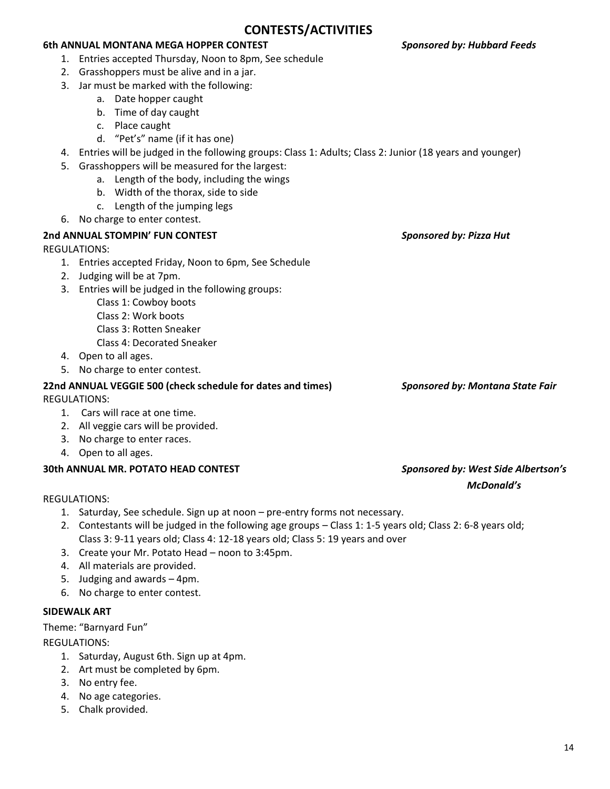14

# **6th ANNUAL MONTANA MEGA HOPPER CONTEST** *Sponsored by: Hubbard Feeds*

- 1. Entries accepted Thursday, Noon to 8pm, See schedule
- 2. Grasshoppers must be alive and in a jar.
- 3. Jar must be marked with the following:
	- a. Date hopper caught
	- b. Time of day caught
	- c. Place caught
	- d. "Pet's" name (if it has one)
- 4. Entries will be judged in the following groups: Class 1: Adults; Class 2: Junior (18 years and younger)
- 5. Grasshoppers will be measured for the largest:
	- a. Length of the body, including the wings
	- b. Width of the thorax, side to side
	- c. Length of the jumping legs
- 6. No charge to enter contest.

# **2nd ANNUAL STOMPIN' FUN CONTEST** *Sponsored by: Pizza Hut*

REGULATIONS:

- 1. Entries accepted Friday, Noon to 6pm, See Schedule
- 2. Judging will be at 7pm.
- 3. Entries will be judged in the following groups:
	- Class 1: Cowboy boots
	- Class 2: Work boots
	- Class 3: Rotten Sneaker
	- Class 4: Decorated Sneaker
- 4. Open to all ages.
- 5. No charge to enter contest.

# **22nd ANNUAL VEGGIE 500 (check schedule for dates and times)** *Sponsored by: Montana State Fair*

REGULATIONS:

- 1. Cars will race at one time.
- 2. All veggie cars will be provided.
- 3. No charge to enter races.
- 4. Open to all ages.

# **30th ANNUAL MR. POTATO HEAD CONTEST** *Sponsored by: West Side Albertson's*

# REGULATIONS:

- 1. Saturday, See schedule. Sign up at noon pre-entry forms not necessary.
- 2. Contestants will be judged in the following age groups Class 1: 1-5 years old; Class 2: 6-8 years old; Class 3: 9-11 years old; Class 4: 12-18 years old; Class 5: 19 years and over
- 3. Create your Mr. Potato Head noon to 3:45pm.
- 4. All materials are provided.
- 5. Judging and awards 4pm.
- 6. No charge to enter contest.

# **SIDEWALK ART**

Theme: "Barnyard Fun"

REGULATIONS:

- 1. Saturday, August 6th. Sign up at 4pm.
- 2. Art must be completed by 6pm.
- 3. No entry fee.
- 4. No age categories.
- 5. Chalk provided.

# *McDonald's*